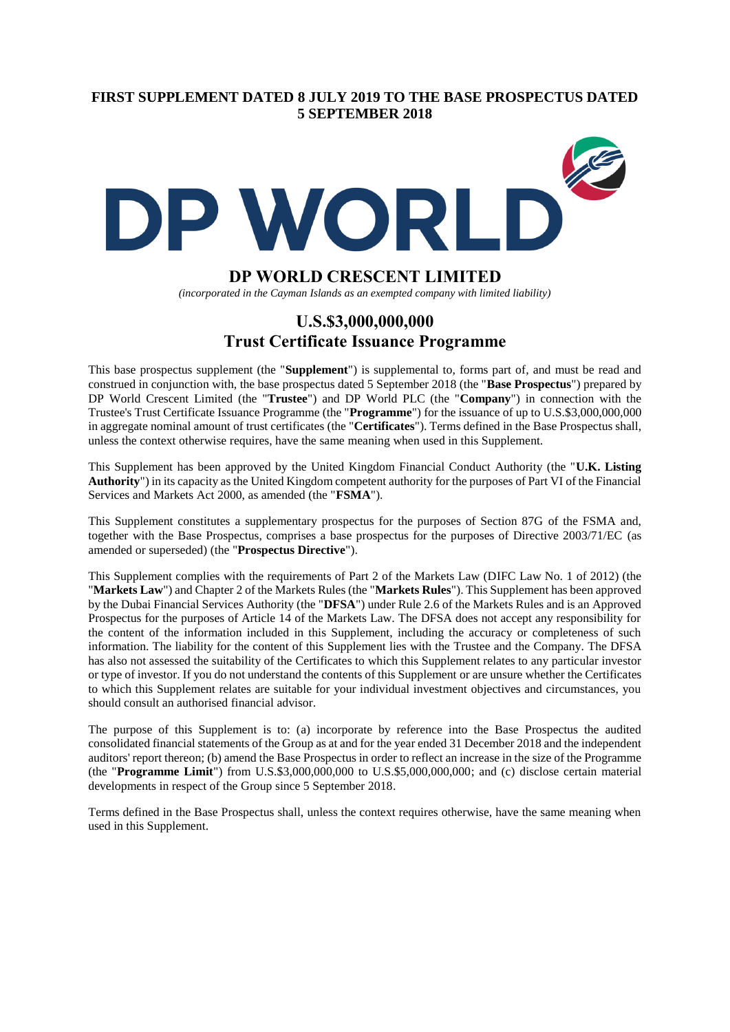## **FIRST SUPPLEMENT DATED 8 JULY 2019 TO THE BASE PROSPECTUS DATED 5 SEPTEMBER 2018**



# **DP WORLD CRESCENT LIMITED**

*(incorporated in the Cayman Islands as an exempted company with limited liability)*

# **U.S.\$3,000,000,000 Trust Certificate Issuance Programme**

This base prospectus supplement (the "**Supplement**") is supplemental to, forms part of, and must be read and construed in conjunction with, the base prospectus dated 5 September 2018 (the "**Base Prospectus**") prepared by DP World Crescent Limited (the "**Trustee**") and DP World PLC (the "**Company**") in connection with the Trustee's Trust Certificate Issuance Programme (the "**Programme**") for the issuance of up to U.S.\$3,000,000,000 in aggregate nominal amount of trust certificates (the "**Certificates**"). Terms defined in the Base Prospectus shall, unless the context otherwise requires, have the same meaning when used in this Supplement.

This Supplement has been approved by the United Kingdom Financial Conduct Authority (the "**U.K. Listing Authority**") in its capacity as the United Kingdom competent authority for the purposes of Part VI of the Financial Services and Markets Act 2000, as amended (the "**FSMA**").

This Supplement constitutes a supplementary prospectus for the purposes of Section 87G of the FSMA and, together with the Base Prospectus, comprises a base prospectus for the purposes of Directive 2003/71/EC (as amended or superseded) (the "**Prospectus Directive**").

This Supplement complies with the requirements of Part 2 of the Markets Law (DIFC Law No. 1 of 2012) (the "**Markets Law**") and Chapter 2 of the Markets Rules (the "**Markets Rules**"). This Supplement has been approved by the Dubai Financial Services Authority (the "**DFSA**") under Rule 2.6 of the Markets Rules and is an Approved Prospectus for the purposes of Article 14 of the Markets Law. The DFSA does not accept any responsibility for the content of the information included in this Supplement, including the accuracy or completeness of such information. The liability for the content of this Supplement lies with the Trustee and the Company. The DFSA has also not assessed the suitability of the Certificates to which this Supplement relates to any particular investor or type of investor. If you do not understand the contents of this Supplement or are unsure whether the Certificates to which this Supplement relates are suitable for your individual investment objectives and circumstances, you should consult an authorised financial advisor.

The purpose of this Supplement is to: (a) incorporate by reference into the Base Prospectus the audited consolidated financial statements of the Group as at and for the year ended 31 December 2018 and the independent auditors' report thereon; (b) amend the Base Prospectus in order to reflect an increase in the size of the Programme (the "**Programme Limit**") from U.S.\$3,000,000,000 to U.S.\$5,000,000,000; and (c) disclose certain material developments in respect of the Group since 5 September 2018.

Terms defined in the Base Prospectus shall, unless the context requires otherwise, have the same meaning when used in this Supplement.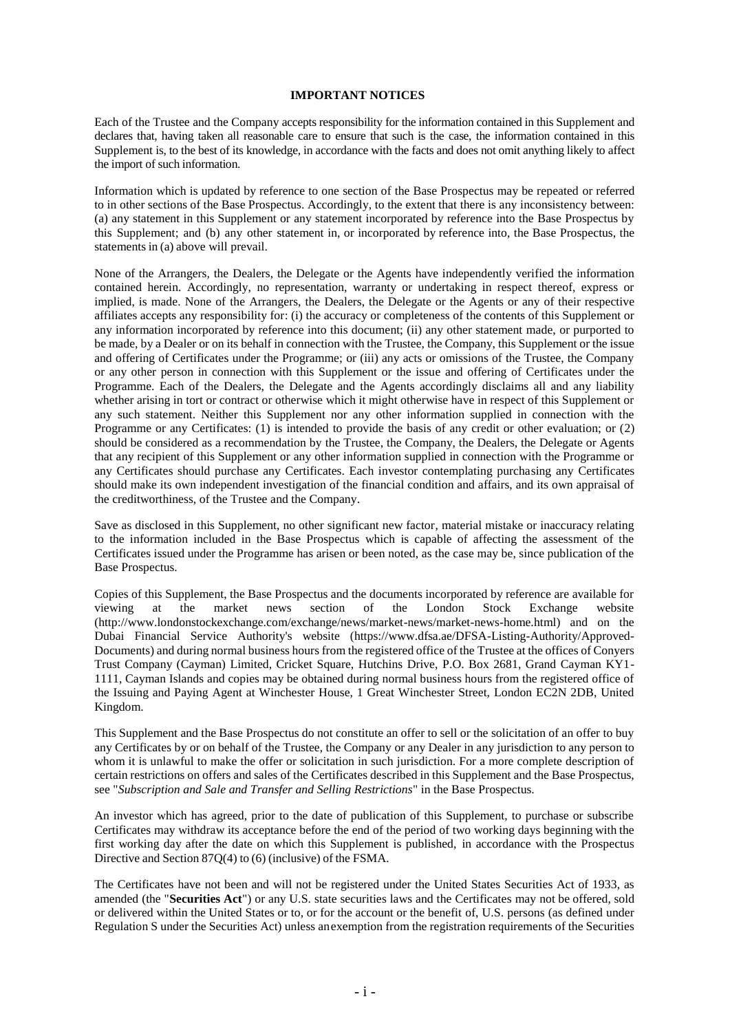#### **IMPORTANT NOTICES**

Each of the Trustee and the Company accepts responsibility for the information contained in this Supplement and declares that, having taken all reasonable care to ensure that such is the case, the information contained in this Supplement is, to the best of its knowledge, in accordance with the facts and does not omit anything likely to affect the import of such information.

Information which is updated by reference to one section of the Base Prospectus may be repeated or referred to in other sections of the Base Prospectus. Accordingly, to the extent that there is any inconsistency between: (a) any statement in this Supplement or any statement incorporated by reference into the Base Prospectus by this Supplement; and (b) any other statement in, or incorporated by reference into, the Base Prospectus, the statements in (a) above will prevail.

None of the Arrangers, the Dealers, the Delegate or the Agents have independently verified the information contained herein. Accordingly, no representation, warranty or undertaking in respect thereof, express or implied, is made. None of the Arrangers, the Dealers, the Delegate or the Agents or any of their respective affiliates accepts any responsibility for: (i) the accuracy or completeness of the contents of this Supplement or any information incorporated by reference into this document; (ii) any other statement made, or purported to be made, by a Dealer or on its behalf in connection with the Trustee, the Company, this Supplement or the issue and offering of Certificates under the Programme; or (iii) any acts or omissions of the Trustee, the Company or any other person in connection with this Supplement or the issue and offering of Certificates under the Programme. Each of the Dealers, the Delegate and the Agents accordingly disclaims all and any liability whether arising in tort or contract or otherwise which it might otherwise have in respect of this Supplement or any such statement. Neither this Supplement nor any other information supplied in connection with the Programme or any Certificates: (1) is intended to provide the basis of any credit or other evaluation; or (2) should be considered as a recommendation by the Trustee, the Company, the Dealers, the Delegate or Agents that any recipient of this Supplement or any other information supplied in connection with the Programme or any Certificates should purchase any Certificates. Each investor contemplating purchasing any Certificates should make its own independent investigation of the financial condition and affairs, and its own appraisal of the creditworthiness, of the Trustee and the Company.

Save as disclosed in this Supplement, no other significant new factor, material mistake or inaccuracy relating to the information included in the Base Prospectus which is capable of affecting the assessment of the Certificates issued under the Programme has arisen or been noted, as the case may be, since publication of the Base Prospectus.

Copies of this Supplement, the Base Prospectus and the documents incorporated by reference are available for viewing at the market news section of the London Stock Exchange website (http://www.londonstockexchange.com/exchange/news/market-news/market-news-home.html) and on the Dubai Financial Service Authority's website (https://www.dfsa.ae/DFSA-Listing-Authority/Approved-Documents) and during normal business hours from the registered office of the Trustee at the offices of Conyers Trust Company (Cayman) Limited, Cricket Square, Hutchins Drive, P.O. Box 2681, Grand Cayman KY1- 1111, Cayman Islands and copies may be obtained during normal business hours from the registered office of the Issuing and Paying Agent at Winchester House, 1 Great Winchester Street, London EC2N 2DB, United Kingdom.

This Supplement and the Base Prospectus do not constitute an offer to sell or the solicitation of an offer to buy any Certificates by or on behalf of the Trustee, the Company or any Dealer in any jurisdiction to any person to whom it is unlawful to make the offer or solicitation in such jurisdiction. For a more complete description of certain restrictions on offers and sales of the Certificates described in this Supplement and the Base Prospectus, see "*Subscription and Sale and Transfer and Selling Restrictions*" in the Base Prospectus.

An investor which has agreed, prior to the date of publication of this Supplement, to purchase or subscribe Certificates may withdraw its acceptance before the end of the period of two working days beginning with the first working day after the date on which this Supplement is published, in accordance with the Prospectus Directive and Section 87Q(4) to (6) (inclusive) of the FSMA.

The Certificates have not been and will not be registered under the United States Securities Act of 1933, as amended (the "**Securities Act**") or any U.S. state securities laws and the Certificates may not be offered, sold or delivered within the United States or to, or for the account or the benefit of, U.S. persons (as defined under Regulation S under the Securities Act) unless anexemption from the registration requirements of the Securities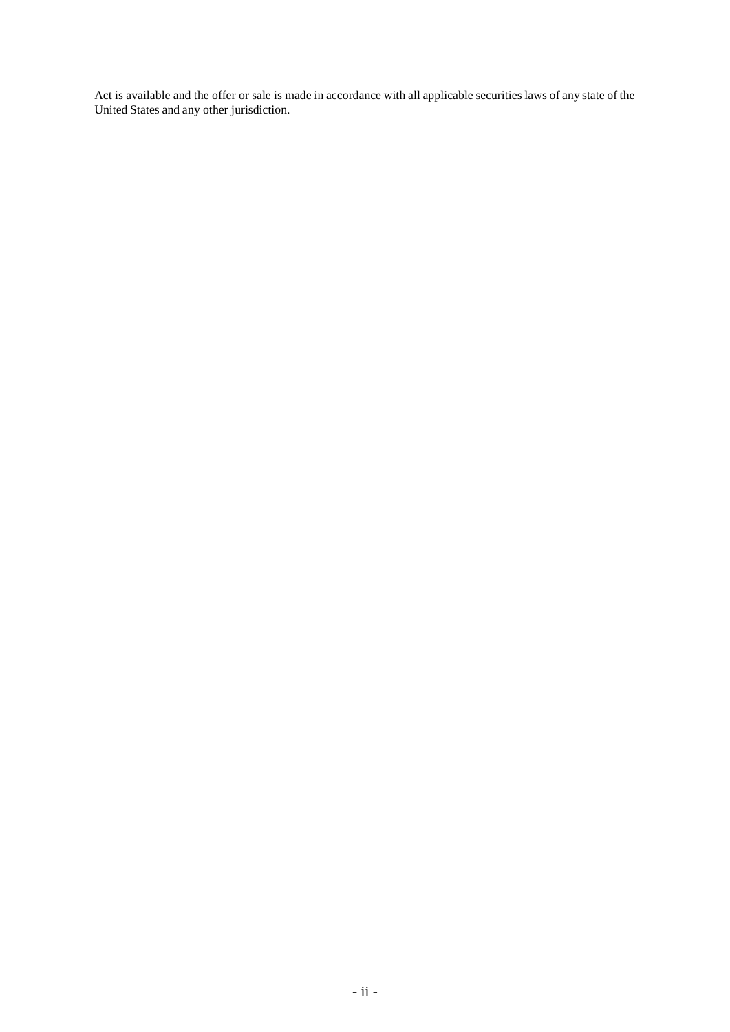Act is available and the offer or sale is made in accordance with all applicable securities laws of any state of the United States and any other jurisdiction.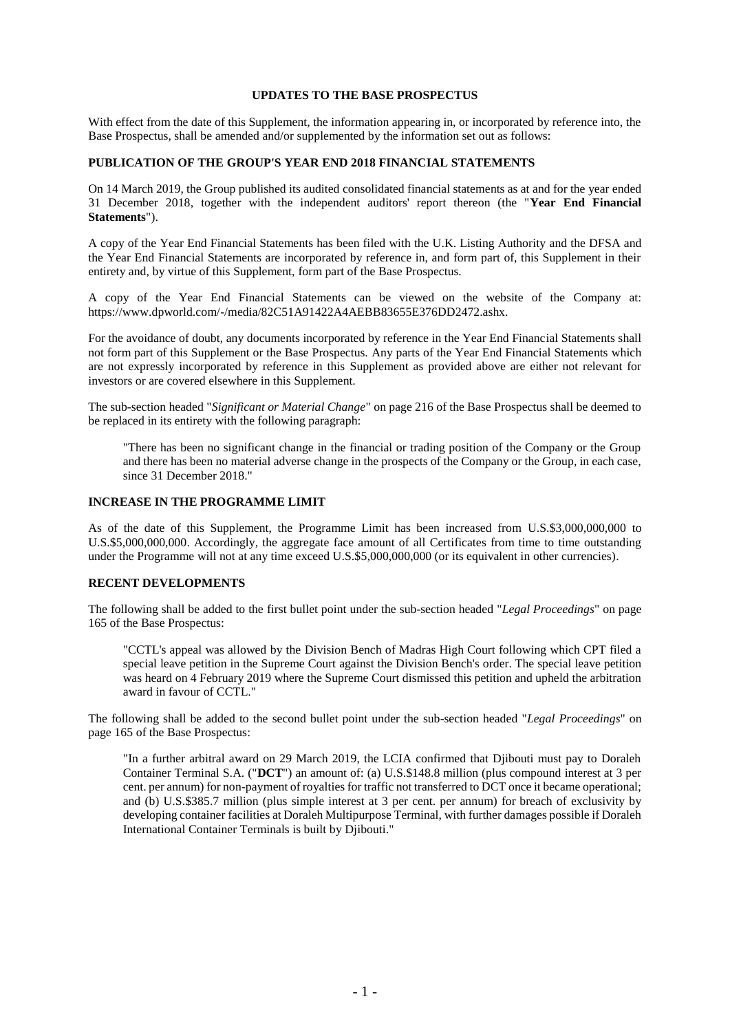#### **UPDATES TO THE BASE PROSPECTUS**

With effect from the date of this Supplement, the information appearing in, or incorporated by reference into, the Base Prospectus, shall be amended and/or supplemented by the information set out as follows:

#### **PUBLICATION OF THE GROUP'S YEAR END 2018 FINANCIAL STATEMENTS**

On 14 March 2019, the Group published its audited consolidated financial statements as at and for the year ended 31 December 2018, together with the independent auditors' report thereon (the "**Year End Financial Statements**").

A copy of the Year End Financial Statements has been filed with the U.K. Listing Authority and the DFSA and the Year End Financial Statements are incorporated by reference in, and form part of, this Supplement in their entirety and, by virtue of this Supplement, form part of the Base Prospectus.

A copy of the Year End Financial Statements can be viewed on the website of the Company at: https://www.dpworld.com/-/media/82C51A91422A4AEBB83655E376DD2472.ashx.

For the avoidance of doubt, any documents incorporated by reference in the Year End Financial Statements shall not form part of this Supplement or the Base Prospectus. Any parts of the Year End Financial Statements which are not expressly incorporated by reference in this Supplement as provided above are either not relevant for investors or are covered elsewhere in this Supplement.

The sub-section headed "*Significant or Material Change*" on page 216 of the Base Prospectus shall be deemed to be replaced in its entirety with the following paragraph:

"There has been no significant change in the financial or trading position of the Company or the Group and there has been no material adverse change in the prospects of the Company or the Group, in each case, since 31 December 2018."

### **INCREASE IN THE PROGRAMME LIMIT**

As of the date of this Supplement, the Programme Limit has been increased from U.S.\$3,000,000,000 to U.S.\$5,000,000,000. Accordingly, the aggregate face amount of all Certificates from time to time outstanding under the Programme will not at any time exceed U.S.\$5,000,000,000 (or its equivalent in other currencies).

### **RECENT DEVELOPMENTS**

The following shall be added to the first bullet point under the sub-section headed "*Legal Proceedings*" on page 165 of the Base Prospectus:

"CCTL's appeal was allowed by the Division Bench of Madras High Court following which CPT filed a special leave petition in the Supreme Court against the Division Bench's order. The special leave petition was heard on 4 February 2019 where the Supreme Court dismissed this petition and upheld the arbitration award in favour of CCTL."

The following shall be added to the second bullet point under the sub-section headed "*Legal Proceedings*" on page 165 of the Base Prospectus:

"In a further arbitral award on 29 March 2019, the LCIA confirmed that Djibouti must pay to Doraleh Container Terminal S.A. ("**DCT**") an amount of: (a) U.S.\$148.8 million (plus compound interest at 3 per cent. per annum) for non-payment of royalties for traffic not transferred to DCT once it became operational; and (b) U.S.\$385.7 million (plus simple interest at 3 per cent. per annum) for breach of exclusivity by developing container facilities at Doraleh Multipurpose Terminal, with further damages possible if Doraleh International Container Terminals is built by Djibouti."